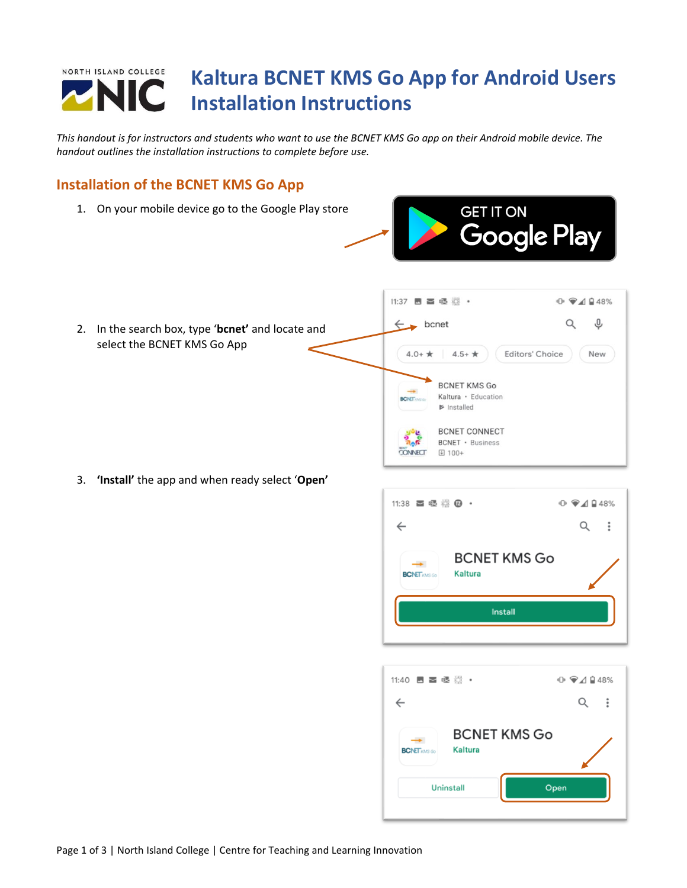## NORTH ISLAND COLLEGE **Kaltura BCNET KMS Go App for Android Users** NIC **Installation Instructions**

*This handout is for instructors and students who want to use the BCNET KMS Go app on their Android mobile device. The handout outlines the installation instructions to complete before use.*

## **Installation of the BCNET KMS Go App**

1. On your mobile device go to the Google Play store



**<sup>1</sup>** <del></del><del></del> <del></del>

 $\mathbb{Q}$ 

New

Q

Editors' Choice

11:37 四 四眼器 •

bcnet

 $4.5+$   $\star$ 

 $\triangleright$  Installed

图 100+

**BCNET KMS Go** Kaltura · Education

**BCNET CONNECT BCNET** · Business

 $4.0 + \star$ 

**BCNET** met

**CONNECT** 

 $\leftarrow$ 

2. In the search box, type '**bcnet'** and locate and select the BCNET KMS Go App

3. **'Install'** the app and when ready select '**Open'**

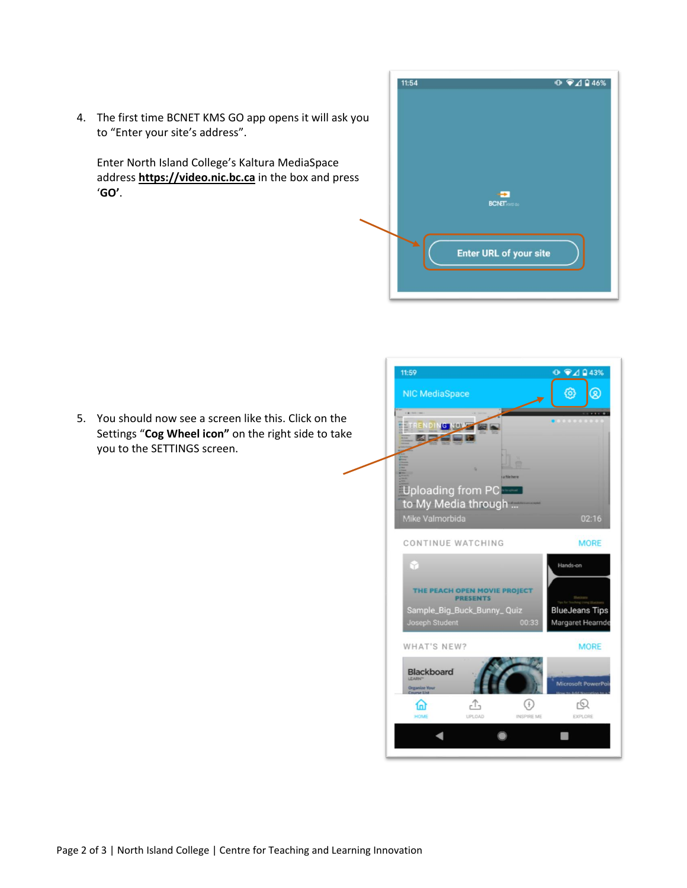

5. You should now see a screen like this. Click on the Settings "**Cog Wheel icon"** on the right side to take you to the SETTINGS screen.

to "Enter your site's address".

'**GO'**.

Enter North Island College's Kaltura MediaSpace